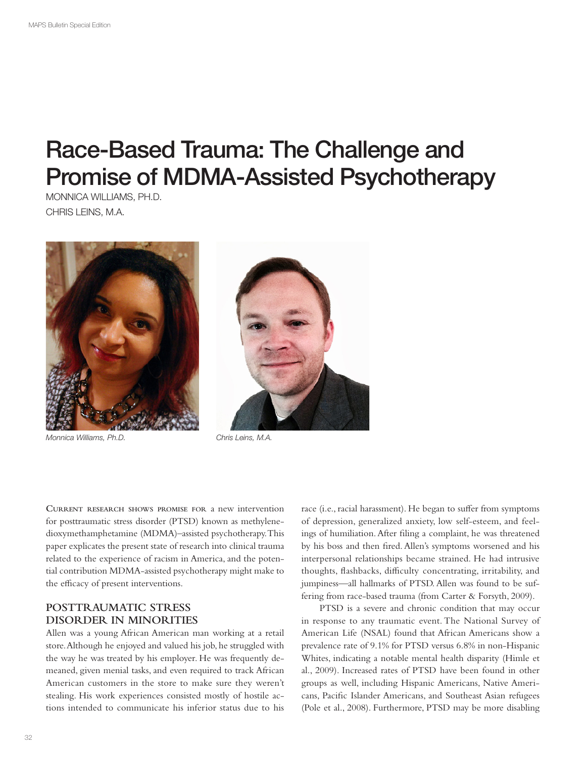# Race-Based Trauma: The Challenge and Promise of MDMA-Assisted Psychotherapy

MONNICA WILLIAMS, PH.D. CHRIS LEINS, M.A.



*Monnica Williams, Ph.D. Chris Leins, M.A.*



**CURRENT RESEARCH SHOWS PROMISE FOR** a new intervention for posttraumatic stress disorder (PTSD) known as methylenedioxymethamphetamine (MDMA)–assisted psychotherapy. This paper explicates the present state of research into clinical trauma related to the experience of racism in America, and the potential contribution MDMA-assisted psychotherapy might make to the efficacy of present interventions.

## **POSTTRAUMATIC STRESS DISORDER IN MINORITIES**

Allen was a young African American man working at a retail store. Although he enjoyed and valued his job, he struggled with the way he was treated by his employer. He was frequently demeaned, given menial tasks, and even required to track African American customers in the store to make sure they weren't stealing. His work experiences consisted mostly of hostile actions intended to communicate his inferior status due to his

race (i.e., racial harassment). He began to suffer from symptoms of depression, generalized anxiety, low self-esteem, and feelings of humiliation. After fling a complaint, he was threatened by his boss and then fred. Allen's symptoms worsened and his interpersonal relationships became strained. He had intrusive thoughts, flashbacks, difficulty concentrating, irritability, and jumpiness—all hallmarks of PTSD. Allen was found to be suffering from race-based trauma (from Carter & Forsyth, 2009).

PTSD is a severe and chronic condition that may occur in response to any traumatic event. The National Survey of American Life (NSAL) found that African Americans show a prevalence rate of 9.1% for PTSD versus 6.8% in non-Hispanic Whites, indicating a notable mental health disparity (Himle et al., 2009). Increased rates of PTSD have been found in other groups as well, including Hispanic Americans, Native Americans, Pacifc Islander Americans, and Southeast Asian refugees (Pole et al., 2008). Furthermore, PTSD may be more disabling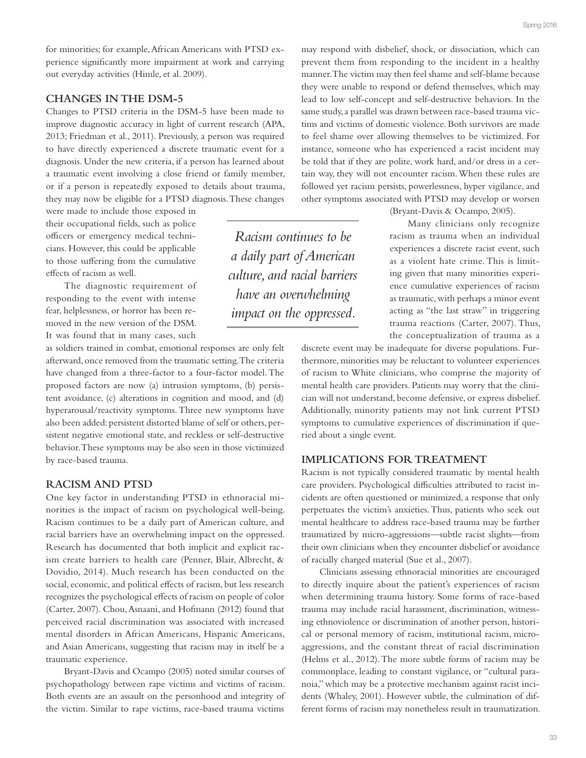for minorities; for example, African Americans with PTSD experience signifcantly more impairment at work and carrying out everyday activities (Himle, et al. 2009).

### **CHANGES IN THE DSM-5**

Changes to PTSD criteria in the DSM-5 have been made to improve diagnostic accuracy in light of current research (APA, 2013; Friedman et al., 2011). Previously, a person was required to have directly experienced a discrete traumatic event for a diagnosis. Under the new criteria, if a person has learned about a traumatic event involving a close friend or family member, or if a person is repeatedly exposed to details about trauma, they may now be eligible for a PTSD diagnosis. These changes

were made to include those exposed in their occupational felds, such as police officers or emergency medical technicians. However, this could be applicable to those sufering from the cumulative efects of racism as well.

The diagnostic requirement of responding to the event with intense fear, helplessness, or horror has been removed in the new version of the DSM. It was found that in many cases, such

as soldiers trained in combat, emotional responses are only felt afterward, once removed from the traumatic setting. The criteria have changed from a three-factor to a four-factor model. The proposed factors are now (a) intrusion symptoms, (b) persistent avoidance, (c) alterations in cognition and mood, and (d) hyperarousal/reactivity symptoms. Three new symptoms have also been added: persistent distorted blame of self or others, persistent negative emotional state, and reckless or self-destructive behavior. These symptoms may be also seen in those victimized by race-based trauma.

#### **RACISM AND PTSD**

One key factor in understanding PTSD in ethnoracial minorities is the impact of racism on psychological well-being. Racism continues to be a daily part of American culture, and racial barriers have an overwhelming impact on the oppressed. Research has documented that both implicit and explicit racism create barriers to health care (Penner, Blair, Albrecht, & Dovidio, 2014). Much research has been conducted on the social, economic, and political effects of racism, but less research recognizes the psychological efects of racism on people of color (Carter, 2007). Chou, Asnaani, and Hofmann (2012) found that perceived racial discrimination was associated with increased mental disorders in African Americans, Hispanic Americans, and Asian Americans, suggesting that racism may in itself be a traumatic experience.

Bryant-Davis and Ocampo (2005) noted similar courses of psychopathology between rape victims and victims of racism. Both events are an assault on the personhood and integrity of the victim. Similar to rape victims, race-based trauma victims

may respond with disbelief, shock, or dissociation, which can prevent them from responding to the incident in a healthy manner. The victim may then feel shame and self-blame because they were unable to respond or defend themselves, which may lead to low self-concept and self-destructive behaviors. In the same study, a parallel was drawn between race-based trauma victims and victims of domestic violence. Both survivors are made to feel shame over allowing themselves to be victimized. For instance, someone who has experienced a racist incident may be told that if they are polite, work hard, and/or dress in a certain way, they will not encounter racism. When these rules are followed yet racism persists, powerlessness, hyper vigilance, and other symptoms associated with PTSD may develop or worsen

(Bryant-Davis & Ocampo, 2005).

Many clinicians only recognize racism as trauma when an individual experiences a discrete racist event, such as a violent hate crime. This is limiting given that many minorities experience cumulative experiences of racism as traumatic, with perhaps a minor event acting as "the last straw" in triggering trauma reactions (Carter, 2007). Thus, the conceptualization of trauma as a

discrete event may be inadequate for diverse populations. Furthermore, minorities may be reluctant to volunteer experiences of racism to White clinicians, who comprise the majority of mental health care providers. Patients may worry that the clinician will not understand, become defensive, or express disbelief. Additionally, minority patients may not link current PTSD symptoms to cumulative experiences of discrimination if queried about a single event.

### **IMPLICATIONS FOR TREATMENT**

Racism is not typically considered traumatic by mental health care providers. Psychological difficulties attributed to racist incidents are often questioned or minimized, a response that only perpetuates the victim's anxieties. Thus, patients who seek out mental healthcare to address race-based trauma may be further traumatized by micro-aggressions—subtle racist slights—from their own clinicians when they encounter disbelief or avoidance of racially charged material (Sue et al., 2007).

Clinicians assessing ethnoracial minorities are encouraged to directly inquire about the patient's experiences of racism when determining trauma history. Some forms of race-based trauma may include racial harassment, discrimination, witnessing ethnoviolence or discrimination of another person, historical or personal memory of racism, institutional racism, microaggressions, and the constant threat of racial discrimination (Helms et al., 2012). The more subtle forms of racism may be commonplace, leading to constant vigilance, or "cultural paranoia," which may be a protective mechanism against racist incidents (Whaley, 2001). However subtle, the culmination of different forms of racism may nonetheless result in traumatization.

*have an overwhelming impact on the oppressed.*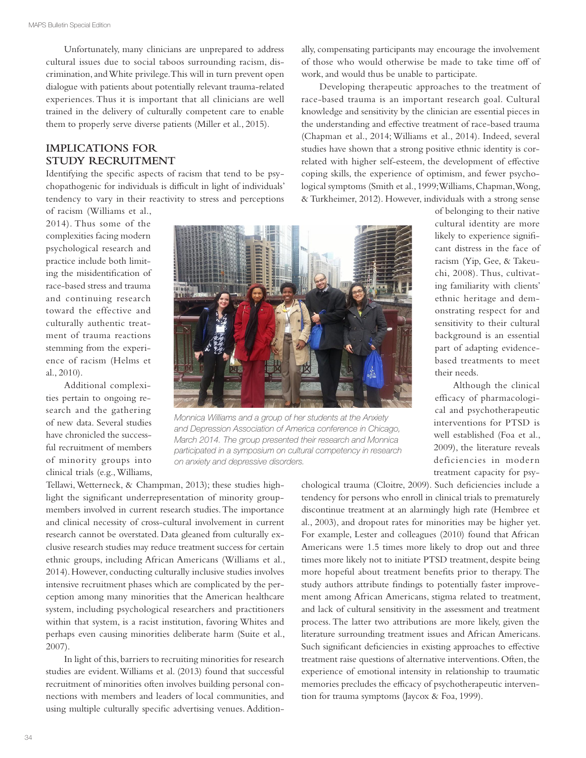Unfortunately, many clinicians are unprepared to address cultural issues due to social taboos surrounding racism, discrimination, and White privilege. This will in turn prevent open dialogue with patients about potentially relevant trauma-related experiences. Thus it is important that all clinicians are well trained in the delivery of culturally competent care to enable them to properly serve diverse patients (Miller et al., 2015).

# **IMPLICATIONS FOR STUDY RECRUITMENT**

Identifying the specifc aspects of racism that tend to be psychopathogenic for individuals is difficult in light of individuals' tendency to vary in their reactivity to stress and perceptions

of racism (Williams et al., 2014). Thus some of the complexities facing modern psychological research and practice include both limiting the misidentifcation of race-based stress and trauma and continuing research toward the effective and culturally authentic treatment of trauma reactions stemming from the experience of racism (Helms et al., 2010).

Additional complexities pertain to ongoing research and the gathering of new data. Several studies have chronicled the successful recruitment of members of minority groups into clinical trials (e.g., Williams,



*Monnica Williams and a group of her students at the Anxiety and Depression Association of America conference in Chicago, March 2014. The group presented their research and Monnica participated in a symposium on cultural competency in research on anxiety and depressive disorders.*

Tellawi, Wetterneck, & Champman, 2013); these studies highlight the signifcant underrepresentation of minority groupmembers involved in current research studies. The importance and clinical necessity of cross-cultural involvement in current research cannot be overstated. Data gleaned from culturally exclusive research studies may reduce treatment success for certain ethnic groups, including African Americans (Williams et al., 2014). However, conducting culturally inclusive studies involves intensive recruitment phases which are complicated by the perception among many minorities that the American healthcare system, including psychological researchers and practitioners within that system, is a racist institution, favoring Whites and perhaps even causing minorities deliberate harm (Suite et al., 2007).

In light of this, barriers to recruiting minorities for research studies are evident. Williams et al. (2013) found that successful recruitment of minorities often involves building personal connections with members and leaders of local communities, and using multiple culturally specifc advertising venues. Additionally, compensating participants may encourage the involvement of those who would otherwise be made to take time of of work, and would thus be unable to participate.

Developing therapeutic approaches to the treatment of race-based trauma is an important research goal. Cultural knowledge and sensitivity by the clinician are essential pieces in the understanding and efective treatment of race-based trauma (Chapman et al., 2014; Williams et al., 2014). Indeed, several studies have shown that a strong positive ethnic identity is correlated with higher self-esteem, the development of efective coping skills, the experience of optimism, and fewer psychological symptoms (Smith et al., 1999; Williams, Chapman, Wong, & Turkheimer, 2012). However, individuals with a strong sense

> of belonging to their native cultural identity are more likely to experience signifcant distress in the face of racism (Yip, Gee, & Takeuchi, 2008). Thus, cultivating familiarity with clients' ethnic heritage and demonstrating respect for and sensitivity to their cultural background is an essential part of adapting evidencebased treatments to meet their needs.

> Although the clinical efficacy of pharmacological and psychotherapeutic interventions for PTSD is well established (Foa et al., 2009), the literature reveals deficiencies in modern treatment capacity for psy-

chological trauma (Cloitre, 2009). Such defciencies include a tendency for persons who enroll in clinical trials to prematurely discontinue treatment at an alarmingly high rate (Hembree et al., 2003), and dropout rates for minorities may be higher yet. For example, Lester and colleagues (2010) found that African Americans were 1.5 times more likely to drop out and three times more likely not to initiate PTSD treatment, despite being more hopeful about treatment benefts prior to therapy. The study authors attribute fndings to potentially faster improvement among African Americans, stigma related to treatment, and lack of cultural sensitivity in the assessment and treatment process. The latter two attributions are more likely, given the literature surrounding treatment issues and African Americans. Such signifcant defciencies in existing approaches to efective treatment raise questions of alternative interventions. Often, the experience of emotional intensity in relationship to traumatic memories precludes the efficacy of psychotherapeutic intervention for trauma symptoms (Jaycox & Foa, 1999).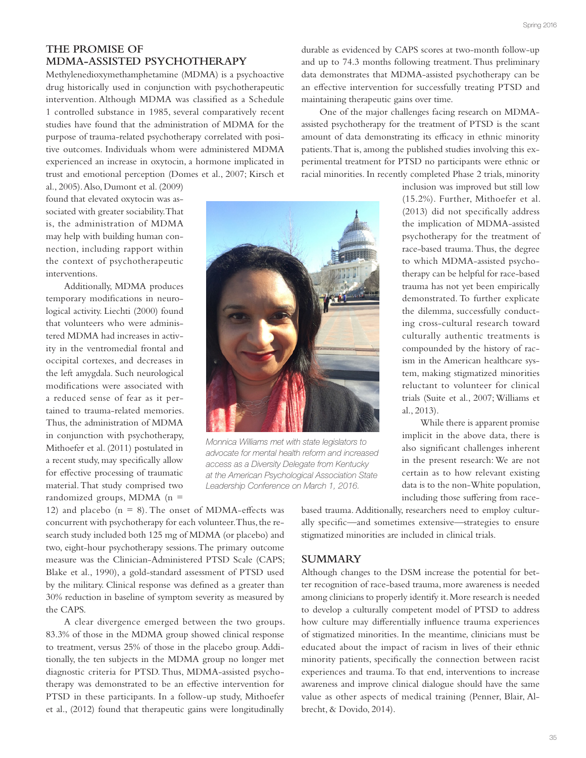# **THE PROMISE OF MDMA-ASSISTED PSYCHOTHERAPY**

Methylenedioxymethamphetamine (MDMA) is a psychoactive drug historically used in conjunction with psychotherapeutic intervention. Although MDMA was classifed as a Schedule 1 controlled substance in 1985, several comparatively recent studies have found that the administration of MDMA for the purpose of trauma-related psychotherapy correlated with positive outcomes. Individuals whom were administered MDMA experienced an increase in oxytocin, a hormone implicated in trust and emotional perception (Domes et al., 2007; Kirsch et

al., 2005). Also, Dumont et al. (2009) found that elevated oxytocin was associated with greater sociability. That is, the administration of MDMA may help with building human connection, including rapport within the context of psychotherapeutic interventions.

Additionally, MDMA produces temporary modifcations in neurological activity. Liechti (2000) found that volunteers who were administered MDMA had increases in activity in the ventromedial frontal and occipital cortexes, and decreases in the left amygdala. Such neurological modifcations were associated with a reduced sense of fear as it pertained to trauma-related memories. Thus, the administration of MDMA in conjunction with psychotherapy, Mithoefer et al. (2011) postulated in a recent study, may specifcally allow for efective processing of traumatic material. That study comprised two randomized groups, MDMA  $(n =$ 

*Monnica Williams met with state legislators to advocate for mental health reform and increased access as a Diversity Delegate from Kentucky at the American Psychological Association State Leadership Conference on March 1, 2016.*

durable as evidenced by CAPS scores at two-month follow-up and up to 74.3 months following treatment. Thus preliminary data demonstrates that MDMA-assisted psychotherapy can be an efective intervention for successfully treating PTSD and maintaining therapeutic gains over time.

One of the major challenges facing research on MDMAassisted psychotherapy for the treatment of PTSD is the scant amount of data demonstrating its efficacy in ethnic minority patients. That is, among the published studies involving this experimental treatment for PTSD no participants were ethnic or racial minorities. In recently completed Phase 2 trials, minority

> inclusion was improved but still low (15.2%). Further, Mithoefer et al. (2013) did not specifcally address the implication of MDMA-assisted psychotherapy for the treatment of race-based trauma. Thus, the degree to which MDMA-assisted psychotherapy can be helpful for race-based trauma has not yet been empirically demonstrated. To further explicate the dilemma, successfully conducting cross-cultural research toward culturally authentic treatments is compounded by the history of racism in the American healthcare system, making stigmatized minorities reluctant to volunteer for clinical trials (Suite et al., 2007; Williams et al., 2013).

> While there is apparent promise implicit in the above data, there is also signifcant challenges inherent in the present research: We are not certain as to how relevant existing data is to the non-White population, including those sufering from race-

12) and placebo ( $n = 8$ ). The onset of MDMA-effects was concurrent with psychotherapy for each volunteer. Thus, the research study included both 125 mg of MDMA (or placebo) and two, eight-hour psychotherapy sessions. The primary outcome measure was the Clinician-Administered PTSD Scale (CAPS; Blake et al., 1990), a gold-standard assessment of PTSD used by the military. Clinical response was defned as a greater than 30% reduction in baseline of symptom severity as measured by the CAPS.

A clear divergence emerged between the two groups. 83.3% of those in the MDMA group showed clinical response to treatment, versus 25% of those in the placebo group. Additionally, the ten subjects in the MDMA group no longer met diagnostic criteria for PTSD. Thus, MDMA-assisted psychotherapy was demonstrated to be an efective intervention for PTSD in these participants. In a follow-up study, Mithoefer et al., (2012) found that therapeutic gains were longitudinally

based trauma. Additionally, researchers need to employ culturally specifc—and sometimes extensive—strategies to ensure stigmatized minorities are included in clinical trials.

#### **SUMMARY**

Although changes to the DSM increase the potential for better recognition of race-based trauma, more awareness is needed among clinicians to properly identify it. More research is needed to develop a culturally competent model of PTSD to address how culture may diferentially infuence trauma experiences of stigmatized minorities. In the meantime, clinicians must be educated about the impact of racism in lives of their ethnic minority patients, specifcally the connection between racist experiences and trauma. To that end, interventions to increase awareness and improve clinical dialogue should have the same value as other aspects of medical training (Penner, Blair, Albrecht, & Dovido, 2014).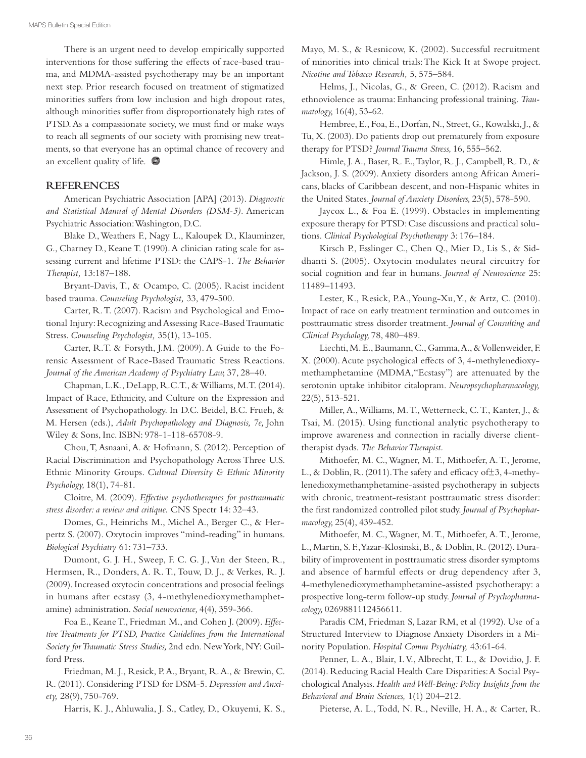There is an urgent need to develop empirically supported interventions for those suffering the effects of race-based trauma, and MDMA-assisted psychotherapy may be an important next step. Prior research focused on treatment of stigmatized minorities sufers from low inclusion and high dropout rates, although minorities sufer from disproportionately high rates of PTSD. As a compassionate society, we must fnd or make ways to reach all segments of our society with promising new treatments, so that everyone has an optimal chance of recovery and an excellent quality of life.

#### **REFERENCES**

American Psychiatric Association [APA] (2013). *Diagnostic and Statistical Manual of Mental Disorders (DSM-5).* American Psychiatric Association: Washington, D.C.

Blake D., Weathers F., Nagy L., Kaloupek D., Klauminzer, G., Charney D., Keane T. (1990). A clinician rating scale for assessing current and lifetime PTSD: the CAPS-1. *The Behavior Therapist,* 13:187–188.

Bryant-Davis, T., & Ocampo, C. (2005). Racist incident based trauma. *Counseling Psychologist,* 33, 479-500.

Carter, R. T. (2007). Racism and Psychological and Emotional Injury: Recognizing and Assessing Race-Based Traumatic Stress. *Counseling Psychologist,* 35(1), 13-105.

Carter, R.T. & Forsyth, J.M. (2009). A Guide to the Forensic Assessment of Race-Based Traumatic Stress Reactions. *Journal of the American Academy of Psychiatry Law,* 37, 28–40.

Chapman, L.K., DeLapp, R.C.T., & Williams, M.T. (2014). Impact of Race, Ethnicity, and Culture on the Expression and Assessment of Psychopathology. In D.C. Beidel, B.C. Frueh, & M. Hersen (eds.), *Adult Psychopathology and Diagnosis, 7e,* John Wiley & Sons, Inc. ISBN: 978-1-118-65708-9.

Chou, T, Asnaani, A. & Hofmann, S. (2012). Perception of Racial Discrimination and Psychopathology Across Three U.S. Ethnic Minority Groups. *Cultural Diversity & Ethnic Minority Psychology,* 18(1), 74-81.

Cloitre, M. (2009). *Efective psychotherapies for posttraumatic stress disorder: a review and critique.* CNS Spectr 14: 32–43.

Domes, G., Heinrichs M., Michel A., Berger C., & Herpertz S. (2007). Oxytocin improves ''mind-reading'' in humans. *Biological Psychiatry* 61: 731–733.

Dumont, G. J. H., Sweep, F. C. G. J., Van der Steen, R., Hermsen, R., Donders, A. R. T., Touw, D. J., & Verkes, R. J. (2009). Increased oxytocin concentrations and prosocial feelings in humans after ecstasy (3, 4-methylenedioxymethamphetamine) administration. *Social neuroscience,* 4(4), 359-366.

Foa E., Keane T., Friedman M., and Cohen J. (2009). *Efective Treatments for PTSD, Practice Guidelines from the International Society for Traumatic Stress Studies,* 2nd edn. New York, NY: Guilford Press.

Friedman, M. J., Resick, P. A., Bryant, R. A., & Brewin, C. R. (2011). Considering PTSD for DSM-5. *Depression and Anxiety,* 28(9), 750-769.

Harris, K. J., Ahluwalia, J. S., Catley, D., Okuyemi, K. S.,

Mayo, M. S., & Resnicow, K. (2002). Successful recruitment of minorities into clinical trials: The Kick It at Swope project. *Nicotine and Tobacco Research,* 5, 575–584.

Helms, J., Nicolas, G., & Green, C. (2012). Racism and ethnoviolence as trauma: Enhancing professional training. *Traumatology,* 16(4), 53-62.

Hembree, E., Foa, E., Dorfan, N., Street, G., Kowalski, J., & Tu, X. (2003). Do patients drop out prematurely from exposure therapy for PTSD? *Journal Trauma Stress,* 16, 555–562.

Himle, J. A., Baser, R. E., Taylor, R. J., Campbell, R. D., & Jackson, J. S. (2009). Anxiety disorders among African Americans, blacks of Caribbean descent, and non-Hispanic whites in the United States. *Journal of Anxiety Disorders,* 23(5), 578-590.

Jaycox L., & Foa E. (1999). Obstacles in implementing exposure therapy for PTSD: Case discussions and practical solutions. *Clinical Psychological Psychotherapy* 3: 176–184.

Kirsch P., Esslinger C., Chen Q., Mier D., Lis S., & Siddhanti S. (2005). Oxytocin modulates neural circuitry for social cognition and fear in humans. *Journal of Neuroscience* 25: 11489–11493.

Lester, K., Resick, P.A., Young-Xu, Y., & Artz, C. (2010). Impact of race on early treatment termination and outcomes in posttraumatic stress disorder treatment. *Journal of Consulting and Clinical Psychology,* 78, 480–489.

Liechti, M. E., Baumann, C., Gamma, A., & Vollenweider, F. X. (2000). Acute psychological efects of 3, 4-methylenedioxymethamphetamine (MDMA,"Ecstasy") are attenuated by the serotonin uptake inhibitor citalopram. *Neuropsychopharmacology,* 22(5), 513-521.

Miller, A., Williams, M. T., Wetterneck, C. T., Kanter, J., & Tsai, M. (2015). Using functional analytic psychotherapy to improve awareness and connection in racially diverse clienttherapist dyads. *The Behavior Therapist.* 

Mithoefer, M. C., Wagner, M. T., Mithoefer, A. T., Jerome, L., & Doblin, R. (2011). The safety and efficacy of  $\pm$ 3, 4-methylenedioxymethamphetamine-assisted psychotherapy in subjects with chronic, treatment-resistant posttraumatic stress disorder: the frst randomized controlled pilot study. *Journal of Psychopharmacology,* 25(4), 439-452.

Mithoefer, M. C., Wagner, M. T., Mithoefer, A. T., Jerome, L., Martin, S. F., Yazar-Klosinski, B., & Doblin, R. (2012). Durability of improvement in posttraumatic stress disorder symptoms and absence of harmful effects or drug dependency after 3, 4-methylenedioxymethamphetamine-assisted psychotherapy: a prospective long-term follow-up study. *Journal of Psychopharmacology,* 0269881112456611.

Paradis CM, Friedman S, Lazar RM, et al (1992). Use of a Structured Interview to Diagnose Anxiety Disorders in a Minority Population. *Hospital Comm Psychiatry,* 43:61-64.

Penner, L. A., Blair, I. V., Albrecht, T. L., & Dovidio, J. F. (2014). Reducing Racial Health Care Disparities: A Social Psychological Analysis. *Health and Well-Being: Policy Insights from the Behavioral and Brain Sciences,* 1(1) 204–212.

Pieterse, A. L., Todd, N. R., Neville, H. A., & Carter, R.